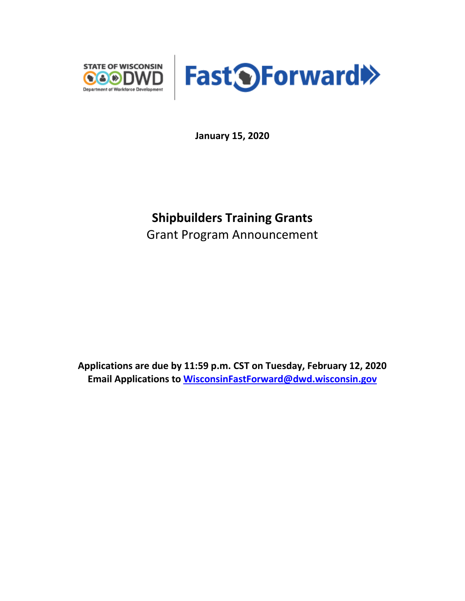



**January 15, 2020**

# **Shipbuilders Training Grants** Grant Program Announcement

**Applications are due by 11:59 p.m. CST on Tuesday, February 12, 2020 Email Applications to [WisconsinFastForward@dwd.wisconsin.gov](mailto:WisconsinFastForward@dwd.wisconsin.gov)**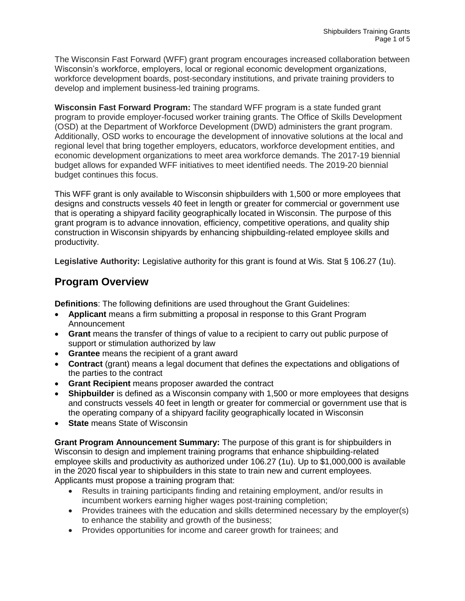The Wisconsin Fast Forward (WFF) grant program encourages increased collaboration between Wisconsin's workforce, employers, local or regional economic development organizations, workforce development boards, post-secondary institutions, and private training providers to develop and implement business-led training programs.

**Wisconsin Fast Forward Program:** The standard WFF program is a state funded grant program to provide employer-focused worker training grants. The Office of Skills Development (OSD) at the Department of Workforce Development (DWD) administers the grant program. Additionally, OSD works to encourage the development of innovative solutions at the local and regional level that bring together employers, educators, workforce development entities, and economic development organizations to meet area workforce demands. The 2017-19 biennial budget allows for expanded WFF initiatives to meet identified needs. The 2019-20 biennial budget continues this focus.

This WFF grant is only available to Wisconsin shipbuilders with 1,500 or more employees that designs and constructs vessels 40 feet in length or greater for commercial or government use that is operating a shipyard facility geographically located in Wisconsin. The purpose of this grant program is to advance innovation, efficiency, competitive operations, and quality ship construction in Wisconsin shipyards by enhancing shipbuilding-related employee skills and productivity.

**Legislative Authority:** Legislative authority for this grant is found at Wis. Stat § 106.27 (1u).

### **Program Overview**

**Definitions**: The following definitions are used throughout the Grant Guidelines:

- **Applicant** means a firm submitting a proposal in response to this Grant Program Announcement
- **Grant** means the transfer of things of value to a recipient to carry out public purpose of support or stimulation authorized by law
- **Grantee** means the recipient of a grant award
- **Contract** (grant) means a legal document that defines the expectations and obligations of the parties to the contract
- **Grant Recipient** means proposer awarded the contract
- **Shipbuilder** is defined as a Wisconsin company with 1,500 or more employees that designs and constructs vessels 40 feet in length or greater for commercial or government use that is the operating company of a shipyard facility geographically located in Wisconsin
- **State** means State of Wisconsin

**Grant Program Announcement Summary:** The purpose of this grant is for shipbuilders in Wisconsin to design and implement training programs that enhance shipbuilding-related employee skills and productivity as authorized under 106.27 (1u). Up to \$1,000,000 is available in the 2020 fiscal year to shipbuilders in this state to train new and current employees. Applicants must propose a training program that:

- Results in training participants finding and retaining employment, and/or results in incumbent workers earning higher wages post-training completion;
- Provides trainees with the education and skills determined necessary by the employer(s) to enhance the stability and growth of the business;
- Provides opportunities for income and career growth for trainees; and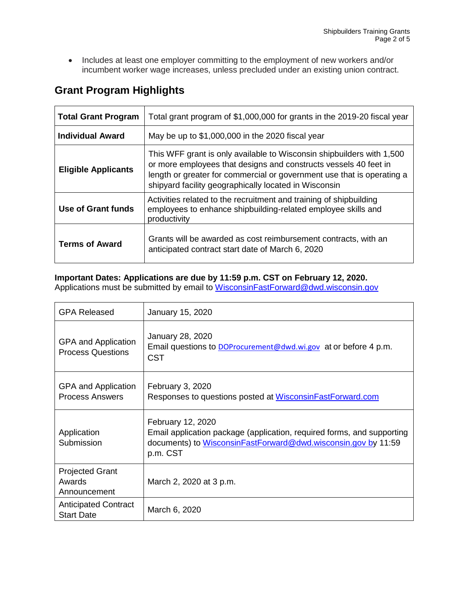• Includes at least one employer committing to the employment of new workers and/or incumbent worker wage increases, unless precluded under an existing union contract.

| <b>Grant Program Highlights</b> |  |
|---------------------------------|--|
|---------------------------------|--|

| <b>Total Grant Program</b> | Total grant program of \$1,000,000 for grants in the 2019-20 fiscal year                                                                                                                                                                                                     |
|----------------------------|------------------------------------------------------------------------------------------------------------------------------------------------------------------------------------------------------------------------------------------------------------------------------|
| Individual Award           | May be up to \$1,000,000 in the 2020 fiscal year                                                                                                                                                                                                                             |
| <b>Eligible Applicants</b> | This WFF grant is only available to Wisconsin shipbuilders with 1,500<br>or more employees that designs and constructs vessels 40 feet in<br>length or greater for commercial or government use that is operating a<br>shipyard facility geographically located in Wisconsin |
| Use of Grant funds         | Activities related to the recruitment and training of shipbuilding<br>employees to enhance shipbuilding-related employee skills and<br>productivity                                                                                                                          |
| <b>Terms of Award</b>      | Grants will be awarded as cost reimbursement contracts, with an<br>anticipated contract start date of March 6, 2020                                                                                                                                                          |

### **Important Dates: Applications are due by 11:59 p.m. CST on February 12, 2020.**

Applications must be submitted by email to [WisconsinFastForward@dwd.wisconsin.gov](mailto:WisconsinFastForward@dwd.wisconsin.gov)

| <b>GPA Released</b>                                    | January 15, 2020                                                                                                                                                         |
|--------------------------------------------------------|--------------------------------------------------------------------------------------------------------------------------------------------------------------------------|
| <b>GPA and Application</b><br><b>Process Questions</b> | <b>January 28, 2020</b><br>Email questions to <b>DOProcurement@dwd.wi.gov</b> at or before 4 p.m.<br><b>CST</b>                                                          |
| GPA and Application<br><b>Process Answers</b>          | February 3, 2020<br>Responses to questions posted at WisconsinFastForward.com                                                                                            |
| Application<br>Submission                              | February 12, 2020<br>Email application package (application, required forms, and supporting<br>documents) to WisconsinFastForward@dwd.wisconsin.gov by 11:59<br>p.m. CST |
| <b>Projected Grant</b><br>Awards<br>Announcement       | March 2, 2020 at 3 p.m.                                                                                                                                                  |
| <b>Anticipated Contract</b><br><b>Start Date</b>       | March 6, 2020                                                                                                                                                            |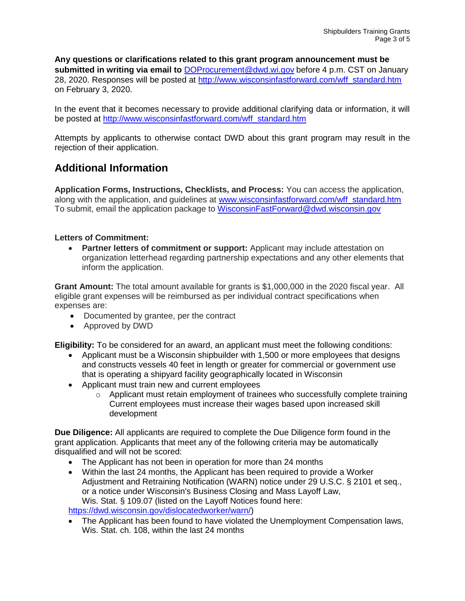**Any questions or clarifications related to this grant program announcement must be submitted in writing via email to** [DOProcurement@dwd.wi.gov](mailto:DOProcurement@dwd.wi.gov) before 4 p.m. CST on January 28, 2020. Responses will be posted at [http://www.wisconsinfastforward.com/wff\\_standard.htm](http://www.wisconsinfastforward.com/wff_standard.htm) on February 3, 2020.

In the event that it becomes necessary to provide additional clarifying data or information, it will be posted at [http://www.wisconsinfastforward.com/wff\\_standard.htm](http://www.wisconsinfastforward.com/wff_standard.htm)

Attempts by applicants to otherwise contact DWD about this grant program may result in the rejection of their application.

## **Additional Information**

**Application Forms, Instructions, Checklists, and Process:** You can access the application, along with the application, and guidelines at [www.wisconsinfastforward.com/wff\\_standard.htm](http://www.wisconsinfastforward.com/wff_standard.htm) To submit, email the application package to [WisconsinFastForward@dwd.wisconsin.gov](mailto:WisconsinFastForward@dwd.wisconsin.gov)

#### **Letters of Commitment:**

• **Partner letters of commitment or support:** Applicant may include attestation on organization letterhead regarding partnership expectations and any other elements that inform the application.

**Grant Amount:** The total amount available for grants is \$1,000,000 in the 2020 fiscal year. All eligible grant expenses will be reimbursed as per individual contract specifications when expenses are:

- Documented by grantee, per the contract
- Approved by DWD

**Eligibility:** To be considered for an award, an applicant must meet the following conditions:

- Applicant must be a Wisconsin shipbuilder with 1,500 or more employees that designs and constructs vessels 40 feet in length or greater for commercial or government use that is operating a shipyard facility geographically located in Wisconsin
- Applicant must train new and current employees
	- $\circ$  Applicant must retain employment of trainees who successfully complete training Current employees must increase their wages based upon increased skill development

**Due Diligence:** All applicants are required to complete the Due Diligence form found in the grant application. Applicants that meet any of the following criteria may be automatically disqualified and will not be scored:

- The Applicant has not been in operation for more than 24 months
- Within the last 24 months, the Applicant has been required to provide a Worker Adjustment and Retraining Notification (WARN) notice under 29 U.S.C. § 2101 et seq., or a notice under Wisconsin's Business Closing and Mass Layoff Law, Wis. Stat. § 109.07 (listed on the Layoff Notices found here: [https://dwd.wisconsin.gov/dislocatedworker/warn/\)](https://dwd.wisconsin.gov/dislocatedworker/warn/)

• The Applicant has been found to have violated the Unemployment Compensation laws, Wis. Stat. ch. 108, within the last 24 months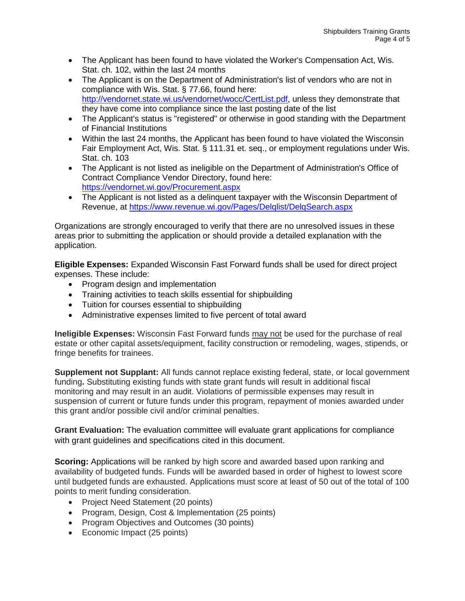- The Applicant has been found to have violated the Worker's Compensation Act, Wis. Stat. ch. 102, within the last 24 months
- The Applicant is on the Department of Administration's list of vendors who are not in compliance with Wis. Stat. § 77.66, found here: [http://vendornet.state.wi.us/vendornet/wocc/CertList.pdf,](http://vendornet.state.wi.us/vendornet/wocc/CertList.pdf) unless they demonstrate that they have come into compliance since the last posting date of the list
- The Applicant's status is "registered" or otherwise in good standing with the Department of Financial Institutions
- Within the last 24 months, the Applicant has been found to have violated the Wisconsin Fair Employment Act, Wis. Stat. § 111.31 et. seq., or employment regulations under Wis. Stat. ch. 103
- The Applicant is not listed as ineligible on the Department of Administration's Office of Contract Compliance Vendor Directory, found here: <https://vendornet.wi.gov/Procurement.aspx>
- The Applicant is not listed as a delinquent taxpayer with the Wisconsin Department of Revenue, at<https://www.revenue.wi.gov/Pages/Delqlist/DelqSearch.aspx>

Organizations are strongly encouraged to verify that there are no unresolved issues in these areas prior to submitting the application or should provide a detailed explanation with the application.

**Eligible Expenses:** Expanded Wisconsin Fast Forward funds shall be used for direct project expenses. These include:

- Program design and implementation
- Training activities to teach skills essential for shipbuilding
- Tuition for courses essential to shipbuilding
- Administrative expenses limited to five percent of total award

**Ineligible Expenses:** Wisconsin Fast Forward funds may not be used for the purchase of real estate or other capital assets/equipment, facility construction or remodeling, wages, stipends, or fringe benefits for trainees.

**Supplement not Supplant:** All funds cannot replace existing federal, state, or local government funding**.** Substituting existing funds with state grant funds will result in additional fiscal monitoring and may result in an audit. Violations of permissible expenses may result in suspension of current or future funds under this program, repayment of monies awarded under this grant and/or possible civil and/or criminal penalties.

**Grant Evaluation:** The evaluation committee will evaluate grant applications for compliance with grant guidelines and specifications cited in this document.

**Scoring:** Applications will be ranked by high score and awarded based upon ranking and availability of budgeted funds. Funds will be awarded based in order of highest to lowest score until budgeted funds are exhausted. Applications must score at least of 50 out of the total of 100 points to merit funding consideration.

- Project Need Statement (20 points)
- Program, Design, Cost & Implementation (25 points)
- Program Objectives and Outcomes (30 points)
- Economic Impact (25 points)